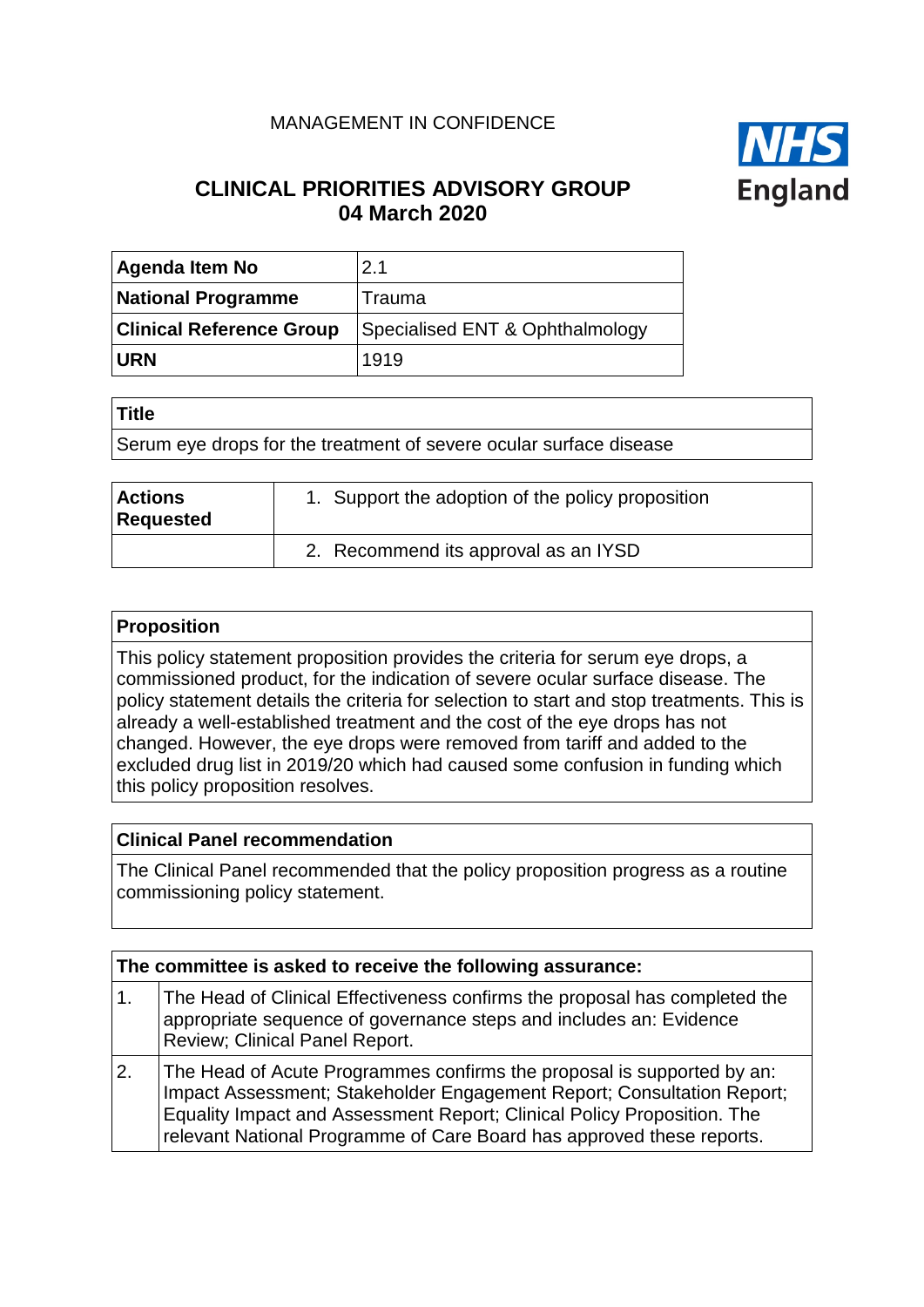## MANAGEMENT IN CONFIDENCE



# **CLINICAL PRIORITIES ADVISORY GROUP 04 March 2020**

| <b>Agenda Item No</b>           | 2.1                             |
|---------------------------------|---------------------------------|
| <b>National Programme</b>       | Trauma                          |
| <b>Clinical Reference Group</b> | Specialised ENT & Ophthalmology |
| <b>URN</b>                      | 1919                            |

#### **Title**

Serum eye drops for the treatment of severe ocular surface disease

| <b>Actions</b><br>Requested | 1. Support the adoption of the policy proposition |
|-----------------------------|---------------------------------------------------|
|                             | 2. Recommend its approval as an IYSD              |

#### **Proposition**

This policy statement proposition provides the criteria for serum eye drops, a commissioned product, for the indication of severe ocular surface disease. The policy statement details the criteria for selection to start and stop treatments. This is already a well-established treatment and the cost of the eye drops has not changed. However, the eye drops were removed from tariff and added to the excluded drug list in 2019/20 which had caused some confusion in funding which this policy proposition resolves.

#### **Clinical Panel recommendation**

The Clinical Panel recommended that the policy proposition progress as a routine commissioning policy statement.

|                  | The committee is asked to receive the following assurance:                                                                                                                                                                                                                                           |  |
|------------------|------------------------------------------------------------------------------------------------------------------------------------------------------------------------------------------------------------------------------------------------------------------------------------------------------|--|
| $\overline{1}$ . | The Head of Clinical Effectiveness confirms the proposal has completed the<br>appropriate sequence of governance steps and includes an: Evidence<br>Review; Clinical Panel Report.                                                                                                                   |  |
| $\overline{2}$ . | The Head of Acute Programmes confirms the proposal is supported by an:<br>Impact Assessment; Stakeholder Engagement Report; Consultation Report;<br>Equality Impact and Assessment Report; Clinical Policy Proposition. The<br>relevant National Programme of Care Board has approved these reports. |  |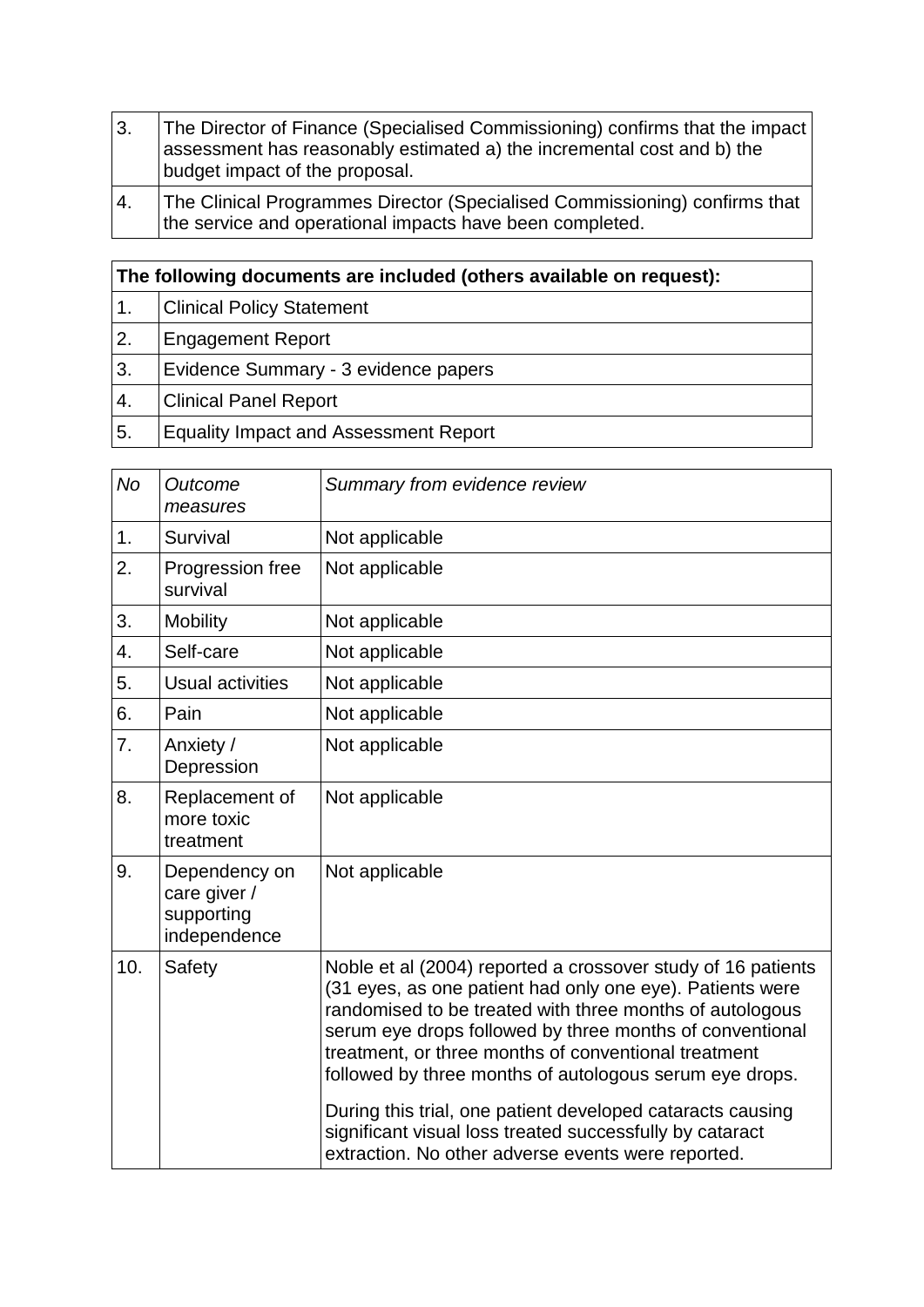| $\overline{3}$ .  | The Director of Finance (Specialised Commissioning) confirms that the impact<br>assessment has reasonably estimated a) the incremental cost and b) the<br>budget impact of the proposal. |
|-------------------|------------------------------------------------------------------------------------------------------------------------------------------------------------------------------------------|
| $\overline{14}$ . | The Clinical Programmes Director (Specialised Commissioning) confirms that<br>the service and operational impacts have been completed.                                                   |

| The following documents are included (others available on request): |                                              |  |
|---------------------------------------------------------------------|----------------------------------------------|--|
| 1.                                                                  | <b>Clinical Policy Statement</b>             |  |
| 2.                                                                  | <b>Engagement Report</b>                     |  |
| 3.                                                                  | Evidence Summary - 3 evidence papers         |  |
| 4.                                                                  | <b>Clinical Panel Report</b>                 |  |
| 5.                                                                  | <b>Equality Impact and Assessment Report</b> |  |

| <b>No</b> | Outcome<br>measures                                         | Summary from evidence review                                                                                                                                                                                                                                                                                                                                         |
|-----------|-------------------------------------------------------------|----------------------------------------------------------------------------------------------------------------------------------------------------------------------------------------------------------------------------------------------------------------------------------------------------------------------------------------------------------------------|
| 1.        | Survival                                                    | Not applicable                                                                                                                                                                                                                                                                                                                                                       |
| 2.        | Progression free<br>survival                                | Not applicable                                                                                                                                                                                                                                                                                                                                                       |
| 3.        | <b>Mobility</b>                                             | Not applicable                                                                                                                                                                                                                                                                                                                                                       |
| 4.        | Self-care                                                   | Not applicable                                                                                                                                                                                                                                                                                                                                                       |
| 5.        | <b>Usual activities</b>                                     | Not applicable                                                                                                                                                                                                                                                                                                                                                       |
| 6.        | Pain                                                        | Not applicable                                                                                                                                                                                                                                                                                                                                                       |
| 7.        | Anxiety /<br>Depression                                     | Not applicable                                                                                                                                                                                                                                                                                                                                                       |
| 8.        | Replacement of<br>more toxic<br>treatment                   | Not applicable                                                                                                                                                                                                                                                                                                                                                       |
| 9.        | Dependency on<br>care giver /<br>supporting<br>independence | Not applicable                                                                                                                                                                                                                                                                                                                                                       |
| 10.       | Safety                                                      | Noble et al (2004) reported a crossover study of 16 patients<br>(31 eyes, as one patient had only one eye). Patients were<br>randomised to be treated with three months of autologous<br>serum eye drops followed by three months of conventional<br>treatment, or three months of conventional treatment<br>followed by three months of autologous serum eye drops. |
|           |                                                             | During this trial, one patient developed cataracts causing<br>significant visual loss treated successfully by cataract<br>extraction. No other adverse events were reported.                                                                                                                                                                                         |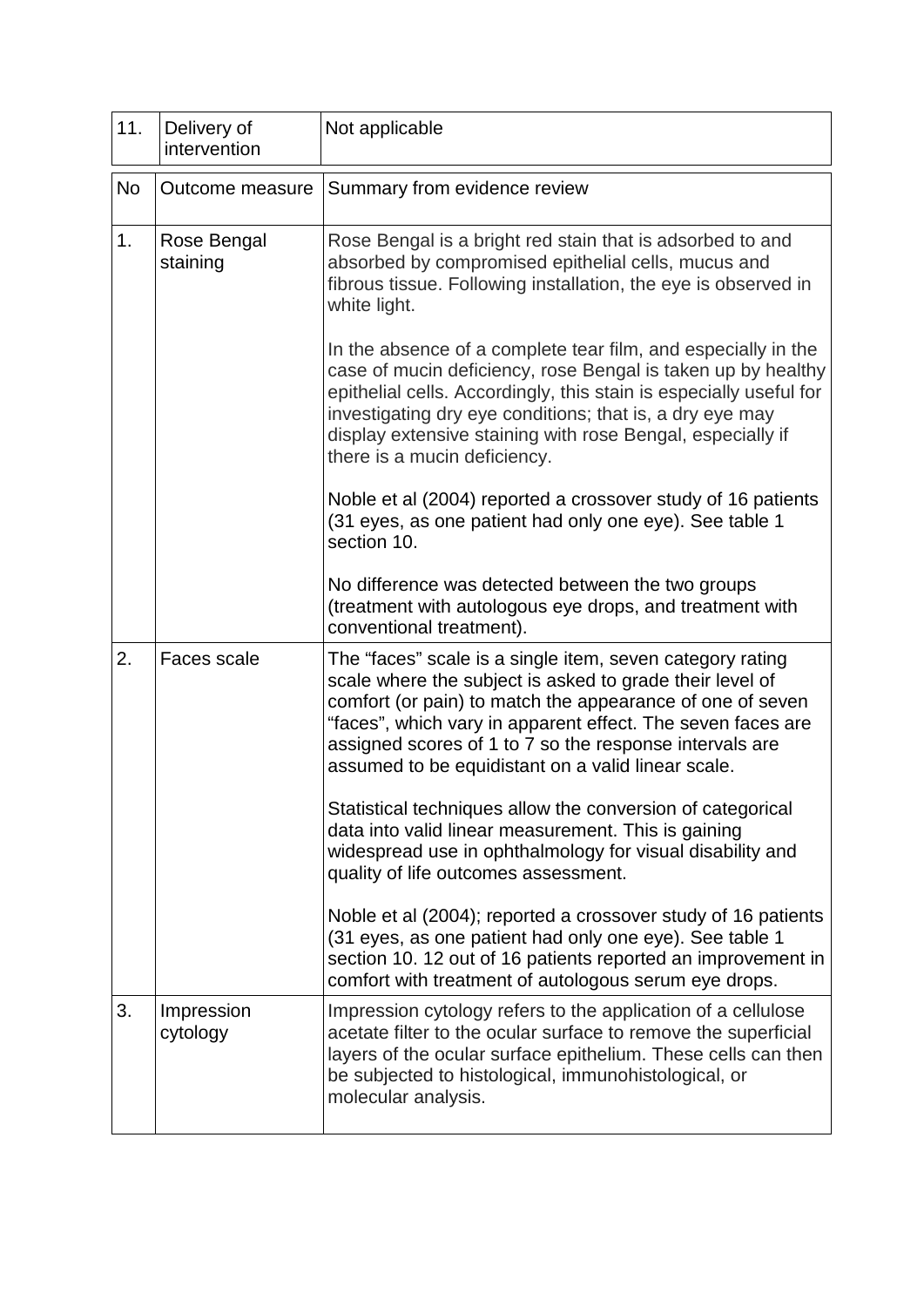| 11.       | Delivery of<br>intervention | Not applicable                                                                                                                                                                                                                                                                                                                                                     |
|-----------|-----------------------------|--------------------------------------------------------------------------------------------------------------------------------------------------------------------------------------------------------------------------------------------------------------------------------------------------------------------------------------------------------------------|
| <b>No</b> | Outcome measure             | Summary from evidence review                                                                                                                                                                                                                                                                                                                                       |
| 1.        | Rose Bengal<br>staining     | Rose Bengal is a bright red stain that is adsorbed to and<br>absorbed by compromised epithelial cells, mucus and<br>fibrous tissue. Following installation, the eye is observed in<br>white light.                                                                                                                                                                 |
|           |                             | In the absence of a complete tear film, and especially in the<br>case of mucin deficiency, rose Bengal is taken up by healthy<br>epithelial cells. Accordingly, this stain is especially useful for<br>investigating dry eye conditions; that is, a dry eye may<br>display extensive staining with rose Bengal, especially if<br>there is a mucin deficiency.      |
|           |                             | Noble et al (2004) reported a crossover study of 16 patients<br>(31 eyes, as one patient had only one eye). See table 1<br>section 10.                                                                                                                                                                                                                             |
|           |                             | No difference was detected between the two groups<br>(treatment with autologous eye drops, and treatment with<br>conventional treatment).                                                                                                                                                                                                                          |
| 2.        | Faces scale                 | The "faces" scale is a single item, seven category rating<br>scale where the subject is asked to grade their level of<br>comfort (or pain) to match the appearance of one of seven<br>"faces", which vary in apparent effect. The seven faces are<br>assigned scores of 1 to 7 so the response intervals are<br>assumed to be equidistant on a valid linear scale. |
|           |                             | Statistical techniques allow the conversion of categorical<br>data into valid linear measurement. This is gaining<br>widespread use in ophthalmology for visual disability and<br>quality of life outcomes assessment.                                                                                                                                             |
|           |                             | Noble et al (2004); reported a crossover study of 16 patients<br>(31 eyes, as one patient had only one eye). See table 1<br>section 10. 12 out of 16 patients reported an improvement in<br>comfort with treatment of autologous serum eye drops.                                                                                                                  |
| 3.        | Impression<br>cytology      | Impression cytology refers to the application of a cellulose<br>acetate filter to the ocular surface to remove the superficial<br>layers of the ocular surface epithelium. These cells can then<br>be subjected to histological, immunohistological, or<br>molecular analysis.                                                                                     |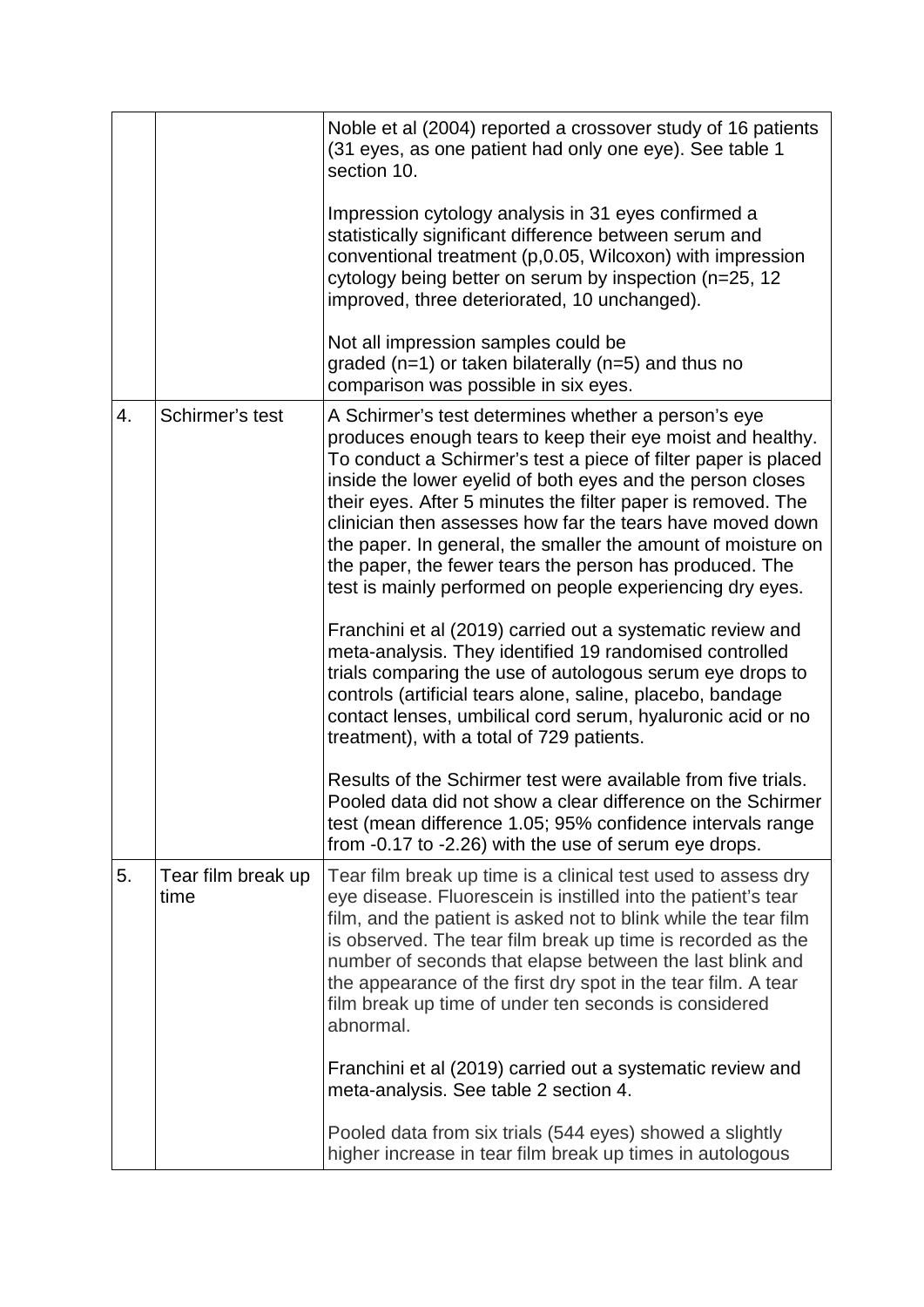|    |                            | Noble et al (2004) reported a crossover study of 16 patients<br>(31 eyes, as one patient had only one eye). See table 1<br>section 10.<br>Impression cytology analysis in 31 eyes confirmed a<br>statistically significant difference between serum and<br>conventional treatment (p,0.05, Wilcoxon) with impression<br>cytology being better on serum by inspection (n=25, 12<br>improved, three deteriorated, 10 unchanged).<br>Not all impression samples could be<br>graded ( $n=1$ ) or taken bilaterally ( $n=5$ ) and thus no<br>comparison was possible in six eyes.                                                                                                                                                                                                                                                                                                                                                                                                                                                                                                                                                         |
|----|----------------------------|--------------------------------------------------------------------------------------------------------------------------------------------------------------------------------------------------------------------------------------------------------------------------------------------------------------------------------------------------------------------------------------------------------------------------------------------------------------------------------------------------------------------------------------------------------------------------------------------------------------------------------------------------------------------------------------------------------------------------------------------------------------------------------------------------------------------------------------------------------------------------------------------------------------------------------------------------------------------------------------------------------------------------------------------------------------------------------------------------------------------------------------|
| 4. | Schirmer's test            | A Schirmer's test determines whether a person's eye<br>produces enough tears to keep their eye moist and healthy.<br>To conduct a Schirmer's test a piece of filter paper is placed<br>inside the lower eyelid of both eyes and the person closes<br>their eyes. After 5 minutes the filter paper is removed. The<br>clinician then assesses how far the tears have moved down<br>the paper. In general, the smaller the amount of moisture on<br>the paper, the fewer tears the person has produced. The<br>test is mainly performed on people experiencing dry eyes.<br>Franchini et al (2019) carried out a systematic review and<br>meta-analysis. They identified 19 randomised controlled<br>trials comparing the use of autologous serum eye drops to<br>controls (artificial tears alone, saline, placebo, bandage<br>contact lenses, umbilical cord serum, hyaluronic acid or no<br>treatment), with a total of 729 patients.<br>Results of the Schirmer test were available from five trials.<br>Pooled data did not show a clear difference on the Schirmer<br>test (mean difference 1.05; 95% confidence intervals range |
| 5. | Tear film break up<br>time | from -0.17 to -2.26) with the use of serum eye drops.<br>Tear film break up time is a clinical test used to assess dry<br>eye disease. Fluorescein is instilled into the patient's tear<br>film, and the patient is asked not to blink while the tear film<br>is observed. The tear film break up time is recorded as the<br>number of seconds that elapse between the last blink and<br>the appearance of the first dry spot in the tear film. A tear<br>film break up time of under ten seconds is considered<br>abnormal.<br>Franchini et al (2019) carried out a systematic review and<br>meta-analysis. See table 2 section 4.<br>Pooled data from six trials (544 eyes) showed a slightly<br>higher increase in tear film break up times in autologous                                                                                                                                                                                                                                                                                                                                                                         |